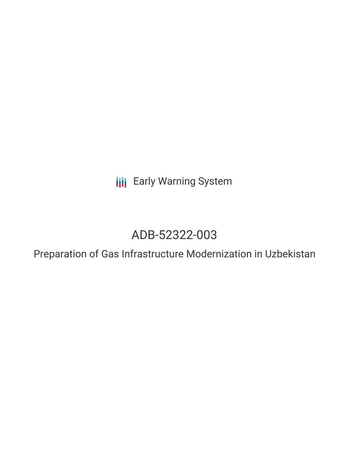**III** Early Warning System

# ADB-52322-003

Preparation of Gas Infrastructure Modernization in Uzbekistan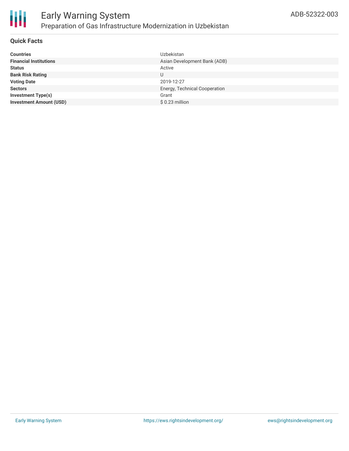

### **Quick Facts**

| <b>Countries</b>               | Uzbekistan                    |
|--------------------------------|-------------------------------|
| <b>Financial Institutions</b>  | Asian Development Bank (ADB)  |
| <b>Status</b>                  | Active                        |
| <b>Bank Risk Rating</b>        |                               |
| <b>Voting Date</b>             | 2019-12-27                    |
| <b>Sectors</b>                 | Energy, Technical Cooperation |
| Investment Type(s)             | Grant                         |
| <b>Investment Amount (USD)</b> | $$0.23$ million               |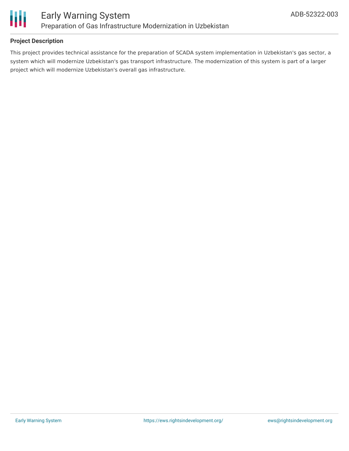

## **Project Description**

This project provides technical assistance for the preparation of SCADA system implementation in Uzbekistan's gas sector, a system which will modernize Uzbekistan's gas transport infrastructure. The modernization of this system is part of a larger project which will modernize Uzbekistan's overall gas infrastructure.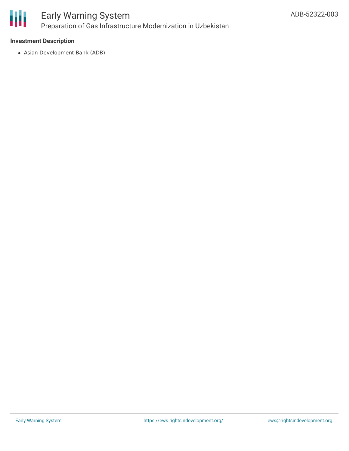

### **Investment Description**

Asian Development Bank (ADB)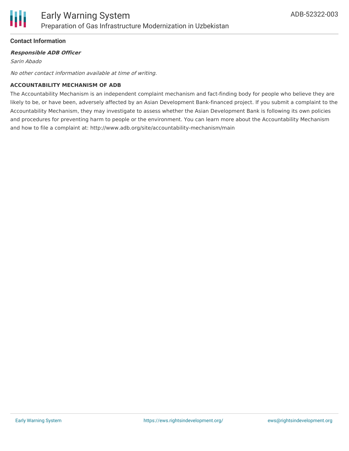

### **Contact Information**

#### **Responsible ADB Officer**

Sarin Abado

No other contact information available at time of writing.

#### **ACCOUNTABILITY MECHANISM OF ADB**

The Accountability Mechanism is an independent complaint mechanism and fact-finding body for people who believe they are likely to be, or have been, adversely affected by an Asian Development Bank-financed project. If you submit a complaint to the Accountability Mechanism, they may investigate to assess whether the Asian Development Bank is following its own policies and procedures for preventing harm to people or the environment. You can learn more about the Accountability Mechanism and how to file a complaint at: http://www.adb.org/site/accountability-mechanism/main